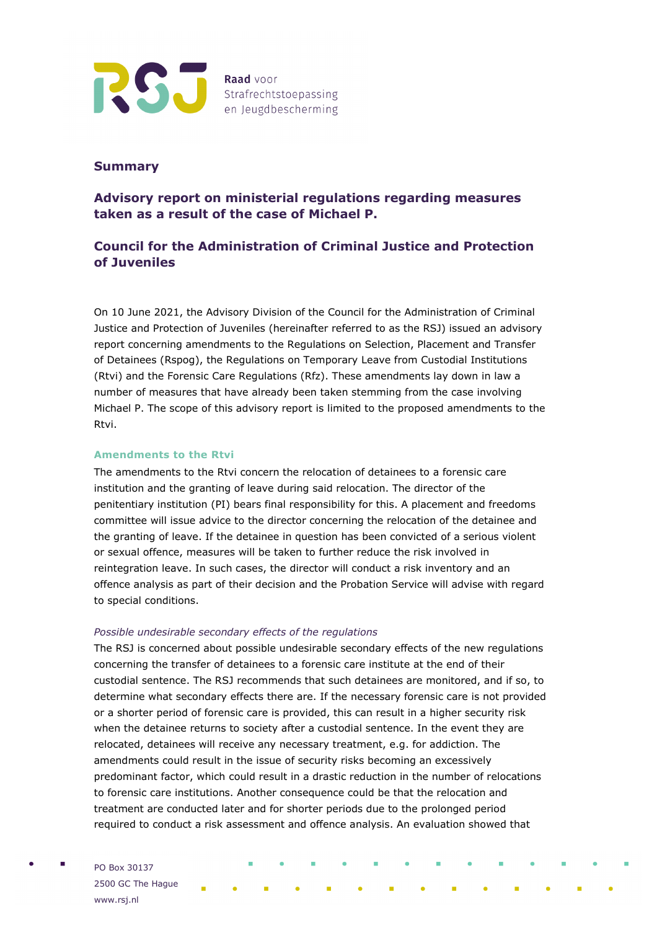

### **Summary**

## **Advisory report on ministerial regulations regarding measures taken as a result of the case of Michael P.**

# **Council for the Administration of Criminal Justice and Protection of Juveniles**

On 10 June 2021, the Advisory Division of the Council for the Administration of Criminal Justice and Protection of Juveniles (hereinafter referred to as the RSJ) issued an advisory report concerning amendments to the Regulations on Selection, Placement and Transfer of Detainees (Rspog), the Regulations on Temporary Leave from Custodial Institutions (Rtvi) and the Forensic Care Regulations (Rfz). These amendments lay down in law a number of measures that have already been taken stemming from the case involving Michael P. The scope of this advisory report is limited to the proposed amendments to the Rtvi.

#### **Amendments to the Rtvi**

The amendments to the Rtvi concern the relocation of detainees to a forensic care institution and the granting of leave during said relocation. The director of the penitentiary institution (PI) bears final responsibility for this. A placement and freedoms committee will issue advice to the director concerning the relocation of the detainee and the granting of leave. If the detainee in question has been convicted of a serious violent or sexual offence, measures will be taken to further reduce the risk involved in reintegration leave. In such cases, the director will conduct a risk inventory and an offence analysis as part of their decision and the Probation Service will advise with regard to special conditions.

#### *Possible undesirable secondary effects of the regulations*

The RSJ is concerned about possible undesirable secondary effects of the new regulations concerning the transfer of detainees to a forensic care institute at the end of their custodial sentence. The RSJ recommends that such detainees are monitored, and if so, to determine what secondary effects there are. If the necessary forensic care is not provided or a shorter period of forensic care is provided, this can result in a higher security risk when the detainee returns to society after a custodial sentence. In the event they are relocated, detainees will receive any necessary treatment, e.g. for addiction. The amendments could result in the issue of security risks becoming an excessively predominant factor, which could result in a drastic reduction in the number of relocations to forensic care institutions. Another consequence could be that the relocation and treatment are conducted later and for shorter periods due to the prolonged period required to conduct a risk assessment and offence analysis. An evaluation showed that

PO Box 30137 2500 GC The Hague www.rsj.nl